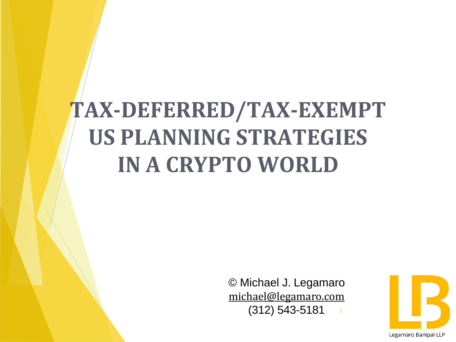# **TAX-DEFERRED/TAX-EXEMPT US PLANNING STRATEGIES IN A CRYPTO WORLD**

1 © Michael J. Legamaro [michael@legamaro.com](mailto:michael@legamaro.com) (312) 543-5181

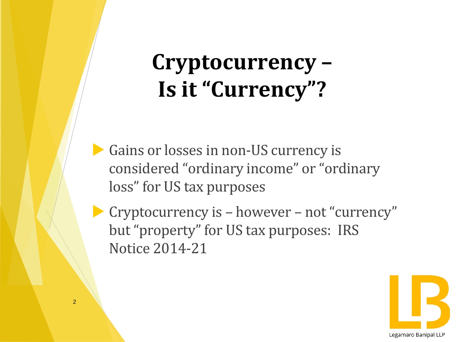# **Cryptocurrency – Is it "Currency"?**

Gains or losses in non-US currency is considered "ordinary income" or "ordinary loss" for US tax purposes

 Cryptocurrency is – however – not "currency" but "property" for US tax purposes: IRS Notice 2014-21

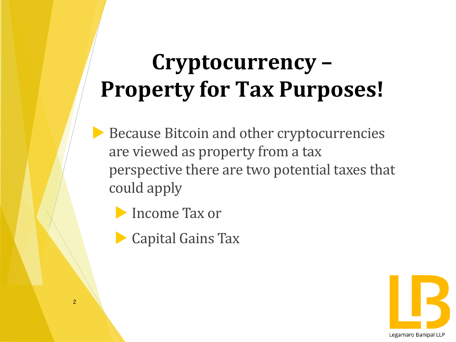# **Cryptocurrency – Property for Tax Purposes!**

- Because Bitcoin and other cryptocurrencies are viewed as property from a tax perspective there are two potential taxes that could apply
	- Income Tax or
	- Capital Gains Tax

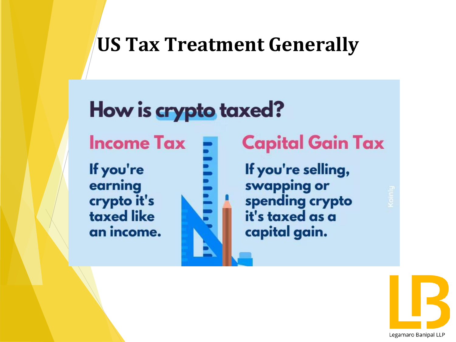### **US Tax Treatment Generally**

### How is crypto taxed?

**Income Tax** 

If you're earning crypto it's taxed like an income.



#### **Capital Gain Tax**

If you're selling, swapping or spending crypto it's taxed as a capital gain.

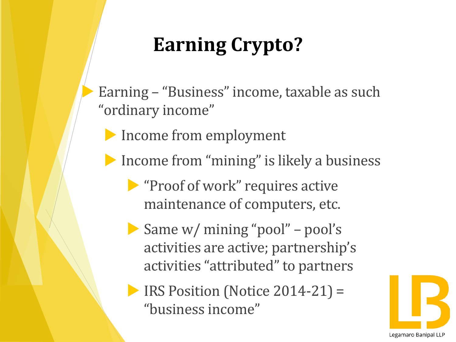# **Earning Crypto?**

- Earning "Business" income, taxable as such "ordinary income"
	- Income from employment
	- **Income from "mining" is likely a business** 
		- **"Proof of work" requires active** maintenance of computers, etc.
		- Same w/ mining "pool" pool's activities are active; partnership's activities "attributed" to partners
		- IRS Position (Notice 2014-21) = "business income"

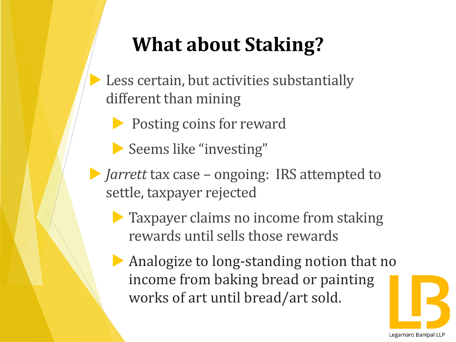### **What about Staking?**

- Less certain, but activities substantially different than mining
	- **Posting coins for reward**
	- Seems like "investing"
- *Jarrett* tax case ongoing: IRS attempted to settle, taxpayer rejected
	- **Taxpayer claims no income from staking** rewards until sells those rewards
	- Analogize to long-standing notion that no income from baking bread or painting works of art until bread/art sold.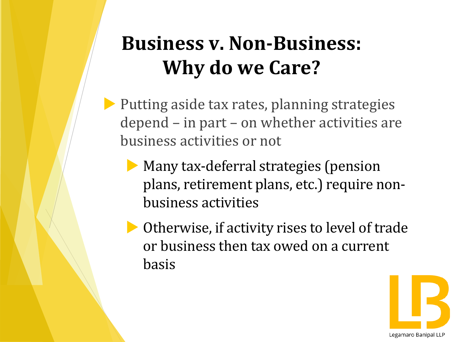### **Business v. Non-Business: Why do we Care?**

- $\blacktriangleright$  Putting aside tax rates, planning strategies depend – in part – on whether activities are business activities or not
	- Many tax-deferral strategies (pension plans, retirement plans, etc.) require nonbusiness activities
	- Otherwise, if activity rises to level of trade or business then tax owed on a current basis

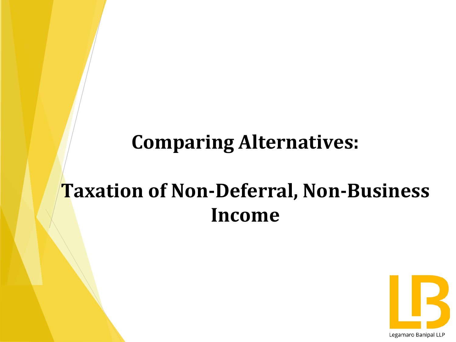### **Comparing Alternatives:**

### **Taxation of Non-Deferral, Non-Business Income**

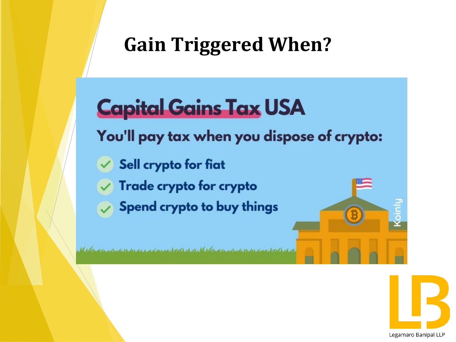### **Gain Triggered When?**

## **Capital Gains Tax USA**

You'll pay tax when you dispose of crypto:

- Sell crypto for fiat
- Trade crypto for crypto
- Spend crypto to buy things

a da dan dan se se se derron de stabil e ch se de se del provato de se describe de seguidade de seguidade de d

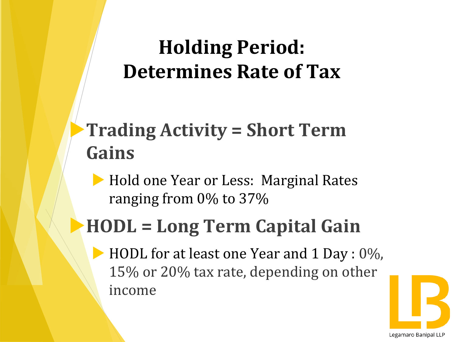### **Holding Period: Determines Rate of Tax**

### **Trading Activity = Short Term Gains**

Hold one Year or Less: Marginal Rates ranging from 0% to 37%

### **HODL = Long Term Capital Gain**

HODL for at least one Year and 1 Day : 0%, 15% or 20% tax rate, depending on other income

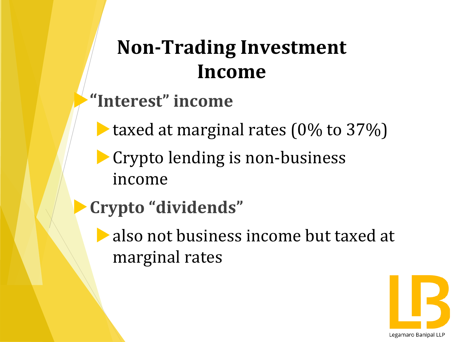### **Non-Trading Investment Income**

#### **"Interest" income**

- taxed at marginal rates  $(0\%$  to  $37\%)$
- **Crypto lending is non-business** income
- **Crypto "dividends"**
	- **also not business income but taxed at** marginal rates

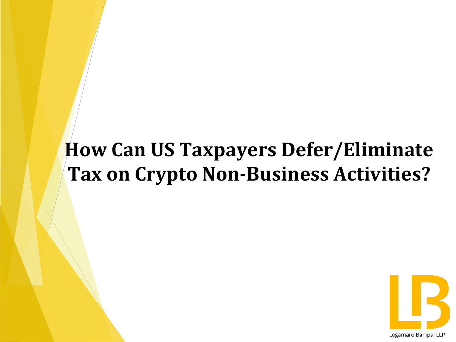### **How Can US Taxpayers Defer/Eliminate Tax on Crypto Non-Business Activities?**

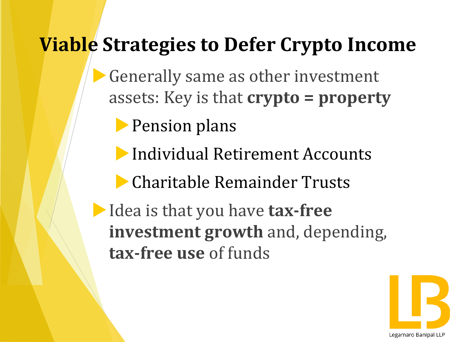### **Viable Strategies to Defer Crypto Income**

Generally same as other investment assets: Key is that **crypto = property** 

**Pension plans** 

Individual Retirement Accounts

Charitable Remainder Trusts

Idea is that you have **tax-free investment growth** and, depending, **tax-free use** of funds

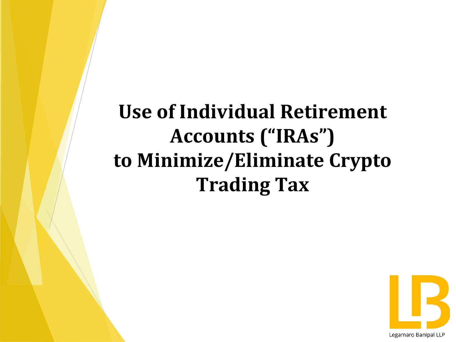**Use of Individual Retirement Accounts ("IRAs") to Minimize/Eliminate Crypto Trading Tax**

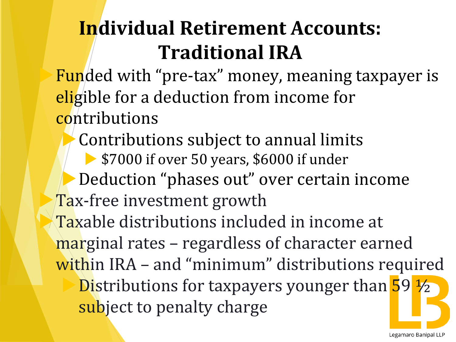### **Individual Retirement Accounts: Traditional IRA**

Funded with "pre-tax" money, meaning taxpayer is eligible for a deduction from income for contributions

Contributions subject to annual limits **\$7000 if over 50 years, \$6000 if under** Deduction "phases out" over certain income Tax-free investment growth Taxable distributions included in income at marginal rates – regardless of character earned within IRA - and "minimum" distributions required Distributions for taxpayers younger than 59 ½ subject to penalty charge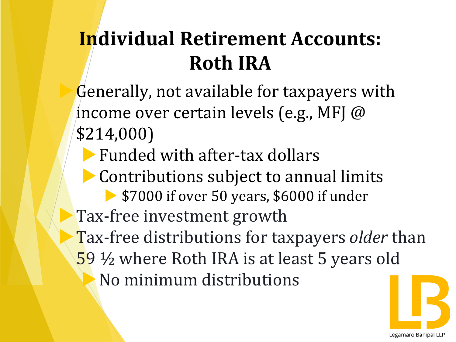### **Individual Retirement Accounts: Roth IRA**

Generally, not available for taxpayers with income over certain levels (e.g., MFJ @ \$214,000)

Funded with after-tax dollars

Contributions subject to annual limits

**\$7000 if over 50 years, \$6000 if under** 

**Tax-free investment growth** 

Tax-free distributions for taxpayers *older* than 59 ½ where Roth IRA is at least 5 years old

No minimum distributions

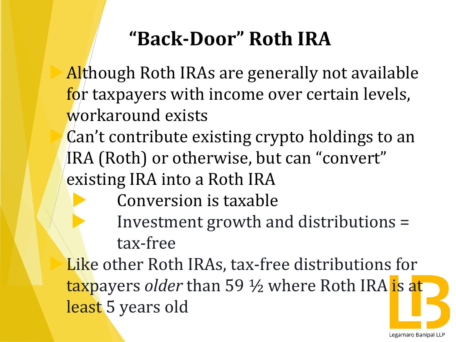### **"Back-Door" Roth IRA**

Although Roth IRAs are generally not available for taxpayers with income over certain levels, workaround exists

Can't contribute existing crypto holdings to an IRA (Roth) or otherwise, but can "convert" existing IRA into a Roth IRA

- Conversion is taxable
- Investment growth and distributions = tax-free

Like other Roth IRAs, tax-free distributions for taxpayers *older* than 59 ½ where Roth IRA is at least 5 years old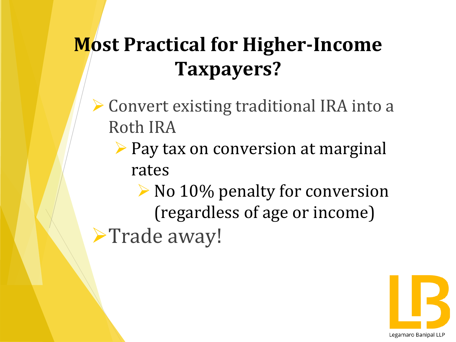### **Most Practical for Higher-Income Taxpayers?**

- ➢ Convert existing traditional IRA into a Roth IRA
	- ➢ Pay tax on conversion at marginal rates

➢ No 10% penalty for conversion (regardless of age or income) ➢Trade away!

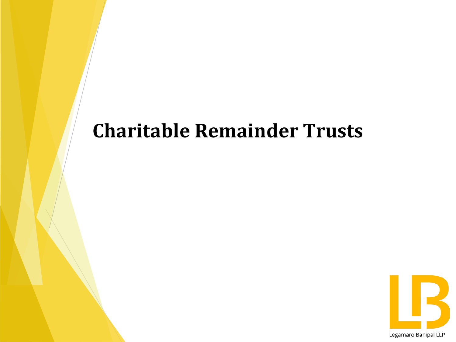### **Charitable Remainder Trusts**

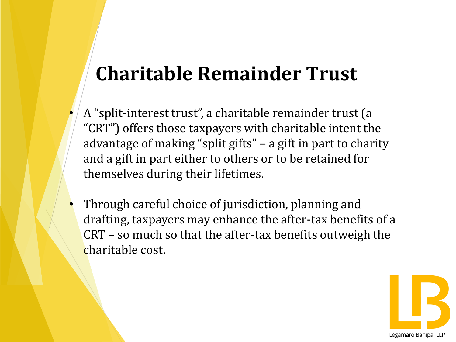### **Charitable Remainder Trust**

- A "split-interest trust", a charitable remainder trust (a "CRT") offers those taxpayers with charitable intent the advantage of making "split gifts" – a gift in part to charity and a gift in part either to others or to be retained for themselves during their lifetimes.
- Through careful choice of jurisdiction, planning and drafting, taxpayers may enhance the after-tax benefits of a CRT – so much so that the after-tax benefits outweigh the charitable cost.

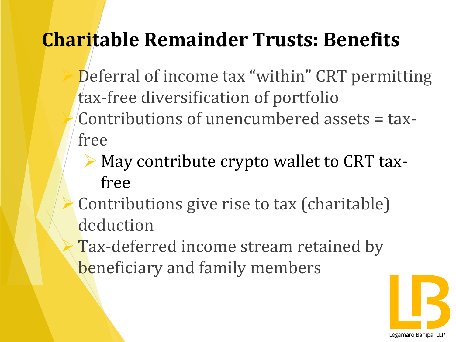### **Charitable Remainder Trusts: Benefits**

- Deferral of income tax "within" CRT permitting tax-free diversification of portfolio ➢ Contributions of unencumbered assets = taxfree
	- ➢ May contribute crypto wallet to CRT taxfree
- Contributions give rise to tax (charitable) deduction
- Tax-deferred income stream retained by beneficiary and family members

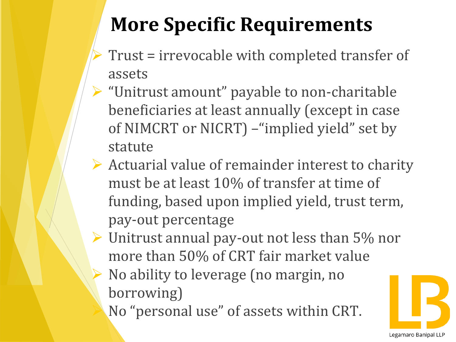## **More Specific Requirements**

- ➢ Trust = irrevocable with completed transfer of assets
- ➢ "Unitrust amount" payable to non-charitable beneficiaries at least annually (except in case of NIMCRT or NICRT) –"implied yield" set by statute
- $\triangleright$  Actuarial value of remainder interest to charity must be at least 10% of transfer at time of funding, based upon implied yield, trust term, pay-out percentage
- ➢ Unitrust annual pay-out not less than 5% nor more than 50% of CRT fair market value
	- ➢ No ability to leverage (no margin, no borrowing)
		- ➢ No "personal use" of assets within CRT.

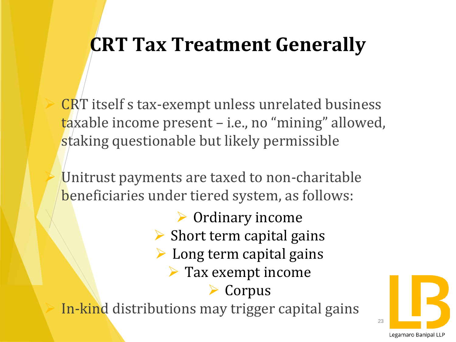### **CRT Tax Treatment Generally**

CRT itself s tax-exempt unless unrelated business taxable income present – i.e., no "mining" allowed, staking questionable but likely permissible

Unitrust payments are taxed to non-charitable beneficiaries under tiered system, as follows:

➢ Ordinary income  $\triangleright$  Short term capital gains  $\triangleright$  Long term capital gains  $\triangleright$  Tax exempt income ➢ Corpus In-kind distributions may trigger capital gains

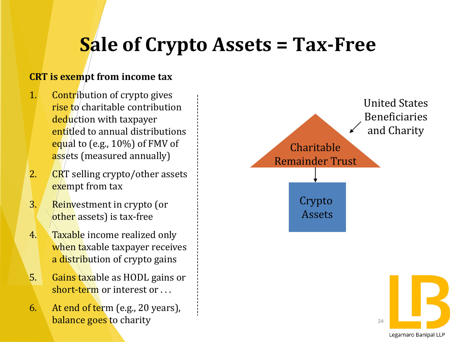### **Sale of Crypto Assets = Tax-Free**

#### **CRT is exempt from income tax**

- 1. Contribution of crypto gives rise to charitable contribution deduction with taxpayer entitled to annual distributions equal to (e.g., 10%) of FMV of assets (measured annually)
- 2.  $CRT$  selling crypto/other assets exempt from tax
- 3. Reinvestment in crypto (or other assets) is tax-free
- 4. Taxable income realized only when taxable taxpayer receives a distribution of crypto gains
- 5. Gains taxable as HODL gains or short-term or interest or . . .
- 6. At end of term (e.g., 20 years), balance goes to charity



Legamaro Banipal LLP